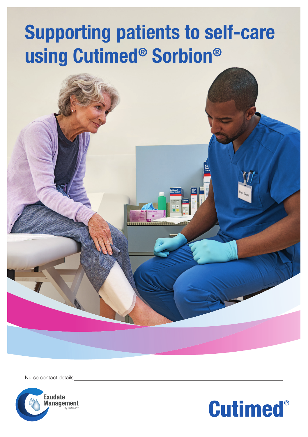# Supporting patients to self-care using Cutimed® Sorbion®

Nurse contact details:



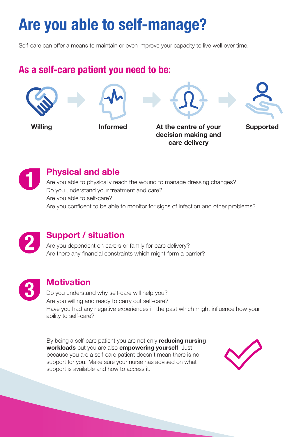## Are you able to self-manage?

Self-care can offer a means to maintain or even improve your capacity to live well over time.

#### As a self-care patient you need to be:



care delivery

1

#### Physical and able

Are you able to physically reach the wound to manage dressing changes? Do you understand your treatment and care? Are you able to self-care? Are you confident to be able to monitor for signs of infection and other problems?



#### Support / situation

Are you dependent on carers or family for care delivery? Are there any financial constraints which might form a barrier?



#### **Motivation**

Do you understand why self-care will help you? Are you willing and ready to carry out self-care? Have you had any negative experiences in the past which might influence how your ability to self-care?

By being a self-care patient you are not only reducing nursing workloads but you are also empowering yourself. Just because you are a self-care patient doesn't mean there is no support for you. Make sure your nurse has advised on what support is available and how to access it.

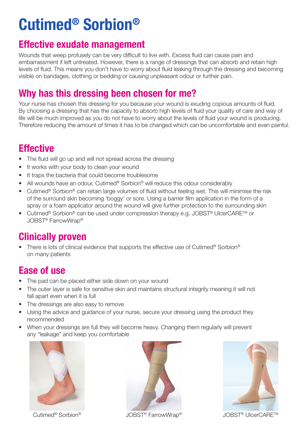## Cutimed® Sorbion®

#### Effective exudate management

Wounds that weep profusely can be very difficult to live with. Excess fluid can cause pain and embarrassment if left untreated. However, there is a range of dressings that can absorb and retain high levels of fluid. This means you don't have to worry about fluid leaking through the dressing and becoming visible on bandages, clothing or bedding or causing unpleasant odour or further pain.

### Why has this dressing been chosen for me?

Your nurse has chosen this dressing for you because your wound is exuding copious amounts of fluid. By choosing a dressing that has the capacity to absorb high levels of fluid your quality of care and way of life will be much improved as you do not have to worry about the levels of fluid your wound is producing. Therefore reducing the amount of times it has to be changed which can be uncomfortable and even painful.

### **Effective**

- The fluid will go up and will not spread across the dressing
- It works with your body to clean your wound
- It traps the bacteria that could become troublesome
- All wounds have an odour, Cutimed® Sorbion® will reduce this odour considerably
- Cutimed<sup>®</sup> Sorbion<sup>®</sup> can retain large volumes of fluid without feeling wet. This will minimise the risk of the surround skin becoming 'boggy' or sore. Using a barrier film application in the form of a spray or a foam applicator around the wound will give further protection to the surrounding skin
- Cutimed® Sorbion® can be used under compression therapy e.g. JOBST® UlcerCARETM or JOBST® FarrowWrap®

### Clinically proven

• There is lots of clinical evidence that supports the effective use of Cutimed® Sorbion® on many patients

### Ease of use

- The pad can be placed either side down on your wound
- The outer layer is safe for sensitive skin and maintains structural integrity meaning it will not fall apart even when it is full
- The dressings are also easy to remove
- Using the advice and guidance of your nurse, secure your dressing using the product they recommended
- When your dressings are full they will become heavy. Changing them regularly will prevent any "leakage" and keep you comfortable





JOBST® UlcerCARETM JOBST® FarrowWrap Cutimed® ® Sorbion®